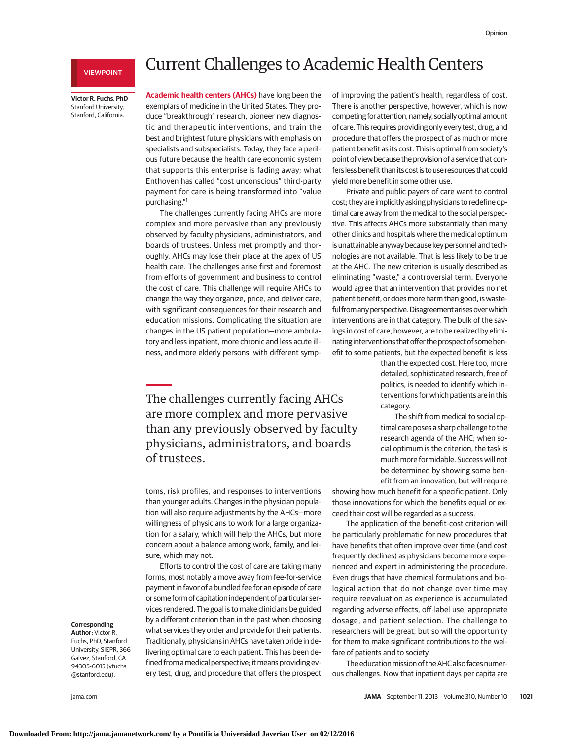## VIEWPOINT

**Victor R. Fuchs, PhD** Stanford University, Stanford, California.

# Current Challenges to Academic Health Centers

**Academic health centers (AHCs)** have long been the exemplars of medicine in the United States. They produce "breakthrough" research, pioneer new diagnostic and therapeutic interventions, and train the best and brightest future physicians with emphasis on specialists and subspecialists. Today, they face a perilous future because the health care economic system that supports this enterprise is fading away; what Enthoven has called "cost unconscious" third-party payment for care is being transformed into "value purchasing."1

The challenges currently facing AHCs are more complex and more pervasive than any previously observed by faculty physicians, administrators, and boards of trustees. Unless met promptly and thoroughly, AHCs may lose their place at the apex of US health care. The challenges arise first and foremost from efforts of government and business to control the cost of care. This challenge will require AHCs to change the way they organize, price, and deliver care, with significant consequences for their research and education missions. Complicating the situation are changes in the US patient population—more ambulatory and less inpatient, more chronic and less acute illness, and more elderly persons, with different symp-

The challenges currently facing AHCs are more complex and more pervasive than any previously observed by faculty physicians, administrators, and boards of trustees.

toms, risk profiles, and responses to interventions than younger adults. Changes in the physician population will also require adjustments by the AHCs—more willingness of physicians to work for a large organization for a salary, which will help the AHCs, but more concern about a balance among work, family, and leisure, which may not.

Efforts to control the cost of care are taking many forms, most notably a move away from fee-for-service payment in favor of a bundled fee for an episode of care or some form of capitation independent of particular services rendered. The goal is to make clinicians be guided by a different criterion than in the past when choosing what services they order and provide for their patients. Traditionally, physicians in AHCs have taken pride in delivering optimal care to each patient. This has been defined from a medical perspective; it means providing every test, drug, and procedure that offers the prospect of improving the patient's health, regardless of cost. There is another perspective, however, which is now competing for attention, namely, socially optimal amount of care. This requires providing onlyevery test, drug, and procedure that offers the prospect of as much or more patient benefit as its cost. This is optimal from society's point of view because the provision of a service that confers less benefit than its cost is to use resources that could yield more benefit in some other use.

Private and public payers of care want to control cost; they are implicitly asking physicians to redefine optimal care away from the medical to the social perspective. This affects AHCs more substantially than many other clinics and hospitals where the medical optimum is unattainable anyway because key personnel and technologies are not available. That is less likely to be true at the AHC. The new criterion is usually described as eliminating "waste," a controversial term. Everyone would agree that an intervention that provides no net patient benefit, or does more harm than good, is wasteful from any perspective. Disagreement arises over which interventions are in that category. The bulk of the savings in cost of care, however, are to be realized by eliminating interventions that offer the prospect of some benefit to some patients, but the expected benefit is less

than the expected cost. Here too, more detailed, sophisticated research, free of politics, is needed to identify which interventions for which patients are in this category.

The shift from medical to social optimal care poses a sharp challenge to the research agenda of the AHC; when social optimum is the criterion, the task is much more formidable. Success will not be determined by showing some benefit from an innovation, but will require

showing how much benefit for a specific patient. Only those innovations for which the benefits equal or exceed their cost will be regarded as a success.

The application of the benefit-cost criterion will be particularly problematic for new procedures that have benefits that often improve over time (and cost frequently declines) as physicians become more experienced and expert in administering the procedure. Even drugs that have chemical formulations and biological action that do not change over time may require reevaluation as experience is accumulated regarding adverse effects, off-label use, appropriate dosage, and patient selection. The challenge to researchers will be great, but so will the opportunity for them to make significant contributions to the welfare of patients and to society.

The education mission of the AHC also faces numerous challenges. Now that inpatient days per capita are

## **Corresponding**

**Author:** Victor R. Fuchs, PhD, Stanford University, SIEPR, 366 Galvez, Stanford, CA 94305-6015 (vfuchs @stanford.edu).